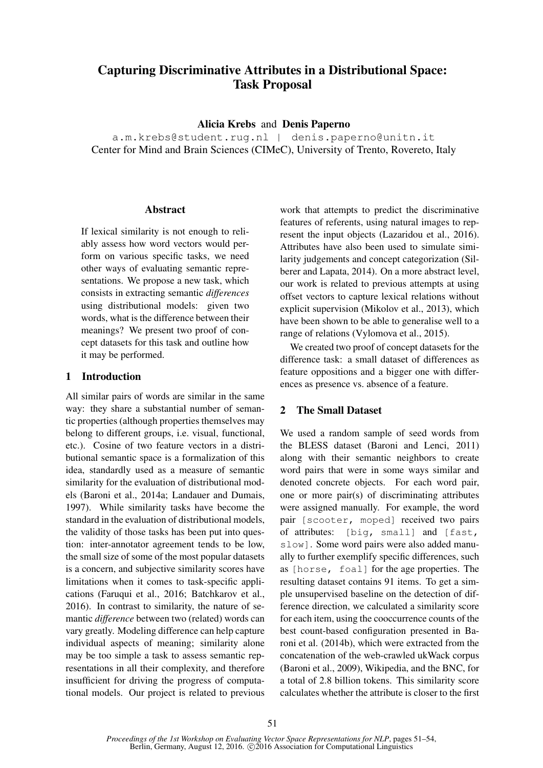# Capturing Discriminative Attributes in a Distributional Space: Task Proposal

Alicia Krebs and Denis Paperno

a.m.krebs@student.rug.nl | denis.paperno@unitn.it Center for Mind and Brain Sciences (CIMeC), University of Trento, Rovereto, Italy

## **Abstract**

If lexical similarity is not enough to reliably assess how word vectors would perform on various specific tasks, we need other ways of evaluating semantic representations. We propose a new task, which consists in extracting semantic *differences* using distributional models: given two words, what is the difference between their meanings? We present two proof of concept datasets for this task and outline how it may be performed.

# 1 Introduction

All similar pairs of words are similar in the same way: they share a substantial number of semantic properties (although properties themselves may belong to different groups, i.e. visual, functional, etc.). Cosine of two feature vectors in a distributional semantic space is a formalization of this idea, standardly used as a measure of semantic similarity for the evaluation of distributional models (Baroni et al., 2014a; Landauer and Dumais, 1997). While similarity tasks have become the standard in the evaluation of distributional models, the validity of those tasks has been put into question: inter-annotator agreement tends to be low, the small size of some of the most popular datasets is a concern, and subjective similarity scores have limitations when it comes to task-specific applications (Faruqui et al., 2016; Batchkarov et al., 2016). In contrast to similarity, the nature of semantic *difference* between two (related) words can vary greatly. Modeling difference can help capture individual aspects of meaning; similarity alone may be too simple a task to assess semantic representations in all their complexity, and therefore insufficient for driving the progress of computational models. Our project is related to previous

work that attempts to predict the discriminative features of referents, using natural images to represent the input objects (Lazaridou et al., 2016). Attributes have also been used to simulate similarity judgements and concept categorization (Silberer and Lapata, 2014). On a more abstract level, our work is related to previous attempts at using offset vectors to capture lexical relations without explicit supervision (Mikolov et al., 2013), which have been shown to be able to generalise well to a range of relations (Vylomova et al., 2015).

We created two proof of concept datasets for the difference task: a small dataset of differences as feature oppositions and a bigger one with differences as presence vs. absence of a feature.

# 2 The Small Dataset

We used a random sample of seed words from the BLESS dataset (Baroni and Lenci, 2011) along with their semantic neighbors to create word pairs that were in some ways similar and denoted concrete objects. For each word pair, one or more pair(s) of discriminating attributes were assigned manually. For example, the word pair [scooter, moped] received two pairs of attributes: [big, small] and [fast, slow]. Some word pairs were also added manually to further exemplify specific differences, such as [horse, foal] for the age properties. The resulting dataset contains 91 items. To get a simple unsupervised baseline on the detection of difference direction, we calculated a similarity score for each item, using the cooccurrence counts of the best count-based configuration presented in Baroni et al. (2014b), which were extracted from the concatenation of the web-crawled ukWack corpus (Baroni et al., 2009), Wikipedia, and the BNC, for a total of 2.8 billion tokens. This similarity score calculates whether the attribute is closer to the first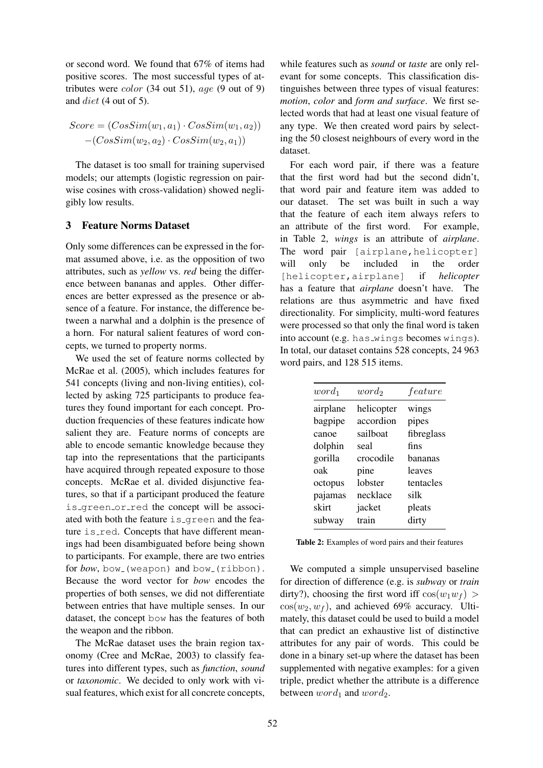or second word. We found that 67% of items had positive scores. The most successful types of attributes were *color* (34 out 51),  $age(9 out of 9)$ and diet (4 out of 5).

$$
Score = (CosSim(w_1, a_1) \cdot CosSim(w_1, a_2)) - (CosSim(w_2, a_2) \cdot CosSim(w_2, a_1))
$$

The dataset is too small for training supervised models; our attempts (logistic regression on pairwise cosines with cross-validation) showed negligibly low results.

## 3 Feature Norms Dataset

Only some differences can be expressed in the format assumed above, i.e. as the opposition of two attributes, such as *yellow* vs. *red* being the difference between bananas and apples. Other differences are better expressed as the presence or absence of a feature. For instance, the difference between a narwhal and a dolphin is the presence of a horn. For natural salient features of word concepts, we turned to property norms.

We used the set of feature norms collected by McRae et al. (2005), which includes features for 541 concepts (living and non-living entities), collected by asking 725 participants to produce features they found important for each concept. Production frequencies of these features indicate how salient they are. Feature norms of concepts are able to encode semantic knowledge because they tap into the representations that the participants have acquired through repeated exposure to those concepts. McRae et al. divided disjunctive features, so that if a participant produced the feature is green or red the concept will be associated with both the feature is green and the feature is red. Concepts that have different meanings had been disambiguated before being shown to participants. For example, there are two entries for *bow*, bow (weapon) and bow (ribbon). Because the word vector for *bow* encodes the properties of both senses, we did not differentiate between entries that have multiple senses. In our dataset, the concept bow has the features of both the weapon and the ribbon.

The McRae dataset uses the brain region taxonomy (Cree and McRae, 2003) to classify features into different types, such as *function*, *sound* or *taxonomic*. We decided to only work with visual features, which exist for all concrete concepts,

while features such as *sound* or *taste* are only relevant for some concepts. This classification distinguishes between three types of visual features: *motion*, *color* and *form and surface*. We first selected words that had at least one visual feature of any type. We then created word pairs by selecting the 50 closest neighbours of every word in the dataset.

For each word pair, if there was a feature that the first word had but the second didn't, that word pair and feature item was added to our dataset. The set was built in such a way that the feature of each item always refers to an attribute of the first word. For example, in Table 2, *wings* is an attribute of *airplane*. The word pair [airplane, helicopter] will only be included in the order [helicopter,airplane] if *helicopter* has a feature that *airplane* doesn't have. The relations are thus asymmetric and have fixed directionality. For simplicity, multi-word features were processed so that only the final word is taken into account (e.g. has\_wings becomes wings). In total, our dataset contains 528 concepts, 24 963 word pairs, and 128 515 items.

| $word_1$ | $word_2$   | feature    |
|----------|------------|------------|
| airplane | helicopter | wings      |
| bagpipe  | accordion  | pipes      |
| canoe    | sailboat   | fibreglass |
| dolphin  | seal       | fins       |
| gorilla  | crocodile  | hananas    |
| oak      | pine       | leaves     |
| octopus  | lobster    | tentacles  |
| pajamas  | necklace   | silk       |
| skirt    | jacket     | pleats     |
| subway   | train      | dirty      |
|          |            |            |

We computed a simple unsupervised baseline for direction of difference (e.g. is *subway* or *train* dirty?), choosing the first word iff  $cos(w_1w_f)$  $\cos(w_2, w_f)$ , and achieved 69% accuracy. Ultimately, this dataset could be used to build a model that can predict an exhaustive list of distinctive attributes for any pair of words. This could be done in a binary set-up where the dataset has been supplemented with negative examples: for a given triple, predict whether the attribute is a difference between  $word_1$  and  $word_2$ .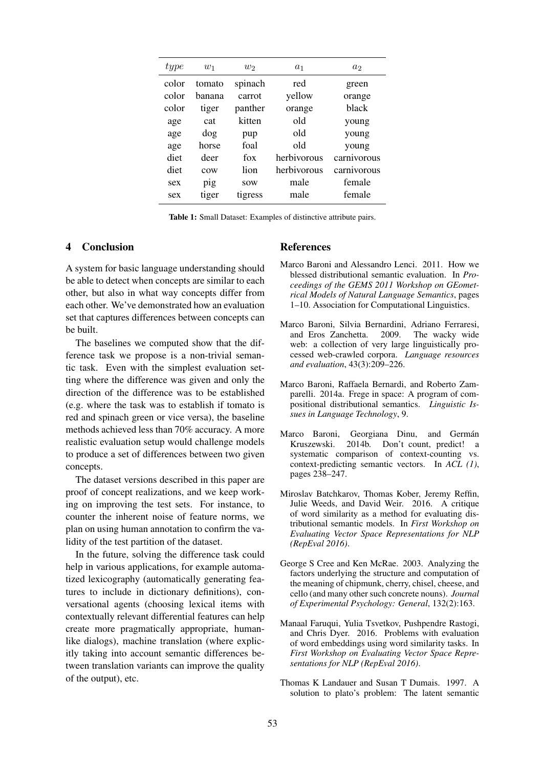| type  | $w_1$  | $w_2$      | $a_1$       | a <sub>2</sub> |
|-------|--------|------------|-------------|----------------|
| color | tomato | spinach    | red         | green          |
| color | banana | carrot     | yellow      | orange         |
| color | tiger  | panther    | orange      | <b>black</b>   |
| age   | cat    | kitten     | old         | young          |
| age   | dog    | pup        | old         | young          |
| age   | horse  | foal       | old         | young          |
| diet  | deer   | fox        | herbivorous | carnivorous    |
| diet  | COW    | lion       | herbivorous | carnivorous    |
| sex   | pig    | <b>SOW</b> | male        | female         |
| sex   | tiger  | tigress    | male        | female         |

Table 1: Small Dataset: Examples of distinctive attribute pairs.

#### 4 Conclusion

A system for basic language understanding should be able to detect when concepts are similar to each other, but also in what way concepts differ from each other. We've demonstrated how an evaluation set that captures differences between concepts can be built.

The baselines we computed show that the difference task we propose is a non-trivial semantic task. Even with the simplest evaluation setting where the difference was given and only the direction of the difference was to be established (e.g. where the task was to establish if tomato is red and spinach green or vice versa), the baseline methods achieved less than 70% accuracy. A more realistic evaluation setup would challenge models to produce a set of differences between two given concepts.

The dataset versions described in this paper are proof of concept realizations, and we keep working on improving the test sets. For instance, to counter the inherent noise of feature norms, we plan on using human annotation to confirm the validity of the test partition of the dataset.

In the future, solving the difference task could help in various applications, for example automatized lexicography (automatically generating features to include in dictionary definitions), conversational agents (choosing lexical items with contextually relevant differential features can help create more pragmatically appropriate, humanlike dialogs), machine translation (where explicitly taking into account semantic differences between translation variants can improve the quality of the output), etc.

### References

- Marco Baroni and Alessandro Lenci. 2011. How we blessed distributional semantic evaluation. In *Proceedings of the GEMS 2011 Workshop on GEometrical Models of Natural Language Semantics*, pages 1–10. Association for Computational Linguistics.
- Marco Baroni, Silvia Bernardini, Adriano Ferraresi, and Eros Zanchetta. 2009. The wacky wide web: a collection of very large linguistically processed web-crawled corpora. *Language resources and evaluation*, 43(3):209–226.
- Marco Baroni, Raffaela Bernardi, and Roberto Zamparelli. 2014a. Frege in space: A program of compositional distributional semantics. *Linguistic Issues in Language Technology*, 9.
- Marco Baroni, Georgiana Dinu, and Germán Kruszewski. 2014b. Don't count, predict! a systematic comparison of context-counting vs. context-predicting semantic vectors. In *ACL (1)*, pages 238–247.
- Miroslav Batchkarov, Thomas Kober, Jeremy Reffin, Julie Weeds, and David Weir. 2016. A critique of word similarity as a method for evaluating distributional semantic models. In *First Workshop on Evaluating Vector Space Representations for NLP (RepEval 2016)*.
- George S Cree and Ken McRae. 2003. Analyzing the factors underlying the structure and computation of the meaning of chipmunk, cherry, chisel, cheese, and cello (and many other such concrete nouns). *Journal of Experimental Psychology: General*, 132(2):163.
- Manaal Faruqui, Yulia Tsvetkov, Pushpendre Rastogi, and Chris Dyer. 2016. Problems with evaluation of word embeddings using word similarity tasks. In *First Workshop on Evaluating Vector Space Representations for NLP (RepEval 2016)*.
- Thomas K Landauer and Susan T Dumais. 1997. A solution to plato's problem: The latent semantic